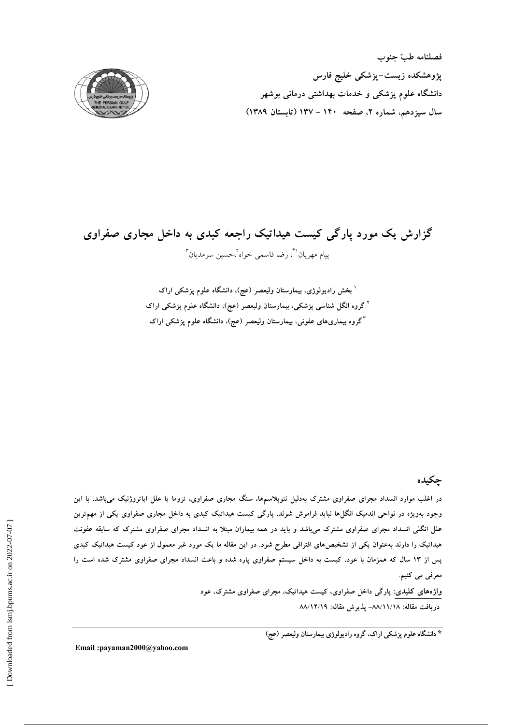فصلنامه طبّ جنوب پژوهشکده زیست–پزشکی خلیج فارس دانشگاه علوم پزشک<sub>ی</sub> و خدمات بهداشت<sub>ی</sub> درمانی بوشهر سال سیزدهم، شماره ۲، صفحه ۱۴۰ – ۱۳۷ (تابستان ۱۳۸۹)



## گزارش یک مورد پارگی کیست هیداتیک راجعه کبدی به داخل مجاری صفراوی ييام مهريان ``، رضا قاسمي خواه `،حسين سرمديان ``

<sup>۱</sup> بخش رادیولوژی، بیمارستان ولیعصر (عج)، دانشگاه علوم پزشکی اراک <sup>۲</sup> گروه انگل شناسی پزشکی، بیمارستان ولیعصر (عج)، دانشگاه علوم پزشکی اراک <sup>۳</sup>گروه بیماریهای عفونی، بیمارستان ولیعصر (عج)، دانشگاه علوم پزشکی اراک

چکیده

در اغلب موارد انسداد مجرای صفراوی مشترک بهدلیل نئوپلاسمها، سنگ مجاری صفراوی، تروما یا علل ایاتروژنیک میباشد. با این وجود بهویژه در نواحی اندمیک انگل۱ها نباید فراموش شوند. پارگی کیست هیداتیک کبدی به داخل مجاری صفراوی یکی از مهم<sub>ا</sub>ترین علل انگلی انسداد مجرای صفراوی مشترک میباشد و باید در همه بیماران مبتلا به انسداد مجرای صفراوی مشترک که سابقه عفونت هیداتیک را دارند بهعنوان یکی از تشخیصهای افتراقی مطرح شود. در این مقاله ما یک مورد غیر معمول از عود کیست هیداتیک کبدی پس از ۱۳ سال که همزمان با عود، کیست به داخل سیستم صفراوی پاره شده و باعث انسداد مجرای صفراوی مشترک شده است را معرفی می کنیم.

واژههای کلیدی: پارگی داخل صفراوی، کیست هیداتیک، مجرای صفراوی مشترک، عود دريافت مقاله: ٨٨/١١/١٨- پذيرش مقاله: ٨٨/١٢/١٩

\* دانشگاه علوم پزشکی اراک، گروه رادیولوژی بیمارستان ولیعصر (عج)

Email:payaman2000@yahoo.com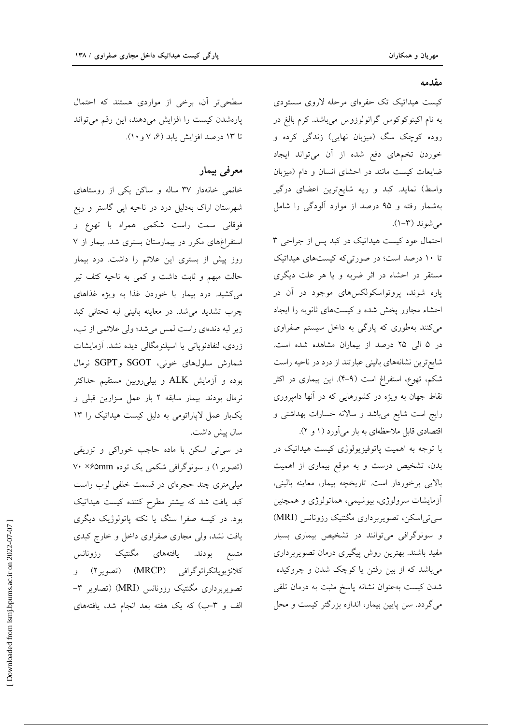سطحی تر آن، برخی از مواردی هستند که احتمال پارهشدن کیست را افزایش میدهند، این رقم میتواند تا ۱۳ درصد افزایش یابد (۶، ۷ و ۱۰).

## معرفي بيمار

خانمی خانهدار ۳۷ ساله و ساکن یکی از روستاهای شهرستان اراک بهدلیل درد در ناحیه اپی گاستر و ربع فوقانی سمت راست شکمی همراه با تهوع و استفراغهای مکرر در بیمارستان بستری شد. بیمار از ۷ روز پیش از بستری این علائم را داشت. درد بیمار حالت مبهم و ثابت داشت و کمی به ناحیه کتف تیر می کشید. درد بیمار با خوردن غذا به ویژه غذاهای چرب تشدید می شد. در معاینه بالینی لبه تحتانی کبد زیر لبه دندهای راست لمس می شد؛ ولی علائمی از تب، زردی، لنفادنوپاتی یا اسپلنومگالی دیده نشد. آزمایشات شمارش سلولهای خونی، SGOT وSGPT نرمال بوده و آزمایش ALK و بیلی روبین مستقیم حداکثر نرمال بودند. بیمار سابقه ۲ بار عمل سزارین قبلی و یکبار عمل لاپاراتومی به دلیل کیست هیداتیک را ١٣ سال پیش داشت.

در سی تی اسکن با ماده حاجب خوراکی و تزریقی (تصویر ۱) و سونوگرافی شکمی یک توده ۷۰ ×۶۵mm میلی متری چند حجرمای در قسمت خلفی لوب راست کبد یافت شد که بیشتر مطرح کننده کیست هیداتیک بود. در کیسه صفرا سنگ یا نکته پاتولوژیک دیگری یافت نشد، ولی مجاری صفراوی داخل و خارج کبدی متسع بودند. یافتههای مگنتیک رزونانس کلانژیویانکراتوگرافی (MRCP) (تصویر ۲) و تصویربرداری مگنتیک رزونانس (MRI) (تصاویر ۳– الف و ٣–ب) كه يك هفته بعد انجام شد، يافتههاي

مقدمه

کیست هیداتیک تک حفرهای مرحله لاروی سستودی به نام اکینوکوکوس گرانولوزوس میباشد. کرم بالغ در روده کوچک سگ (میزبان نهایی) زندگی کرده و خوردن تخمهای دفع شده از آن می تواند ایجاد ضایعات کیست مانند در احشای انسان و دام (میزبان واسط) نماید. کبد و ریه شایعترین اعضای درگیر بهشمار رفته و ۹۵ درصد از موارد آلودگی را شامل می شوند (۳-۱).

احتمال عود کیست هیداتیک در کبد پس از جراحی ۳ تا ١٠ درصد است؛ در صورتی که کیستهای هیداتیک مستقر در احشاء در اثر ضربه و یا هر علت دیگری پاره شوند، پروتواسکولکسهای موجود در آن در احشاء مجاور پخش شده و کیستهای ثانویه را ایجاد میکنند بهطوری که پارگی به داخل سیستم صفراوی در ۵ الی ۲۵ درصد از بیماران مشاهده شده است. شایع ترین نشانههای بالینی عبارتند از درد در ناحیه راست شکم، تهوع، استفراغ است (۹–۴). این بیماری در اکثر نقاط جهان به ویژه در کشورهایی که در آنها دامپروری رایج است شایع میباشد و سالانه خسارات بهداشتی و اقتصادی قابل ملاحظهای به بار می آورد (۱ و ۲).

با توجه به اهمیت پاتوفیزیولوژی کیست هیداتیک در بدن، تشخیص درست و به موقع بیماری از اهمیت بالایی برخوردار است. تاریخچه بیمار، معاینه بالینی، آزمایشات سرولوژی، بیوشیمی، هماتولوژی و همچنین سی تی اسکن، تصویربرداری مگنتیک رزونانس (MRI) و سونوگرافی میتوانند در تشخیص بیماری بسیار مفید باشند. بهترین روش پیگیری درمان تصویربرداری میباشد که از بین رفتن یا کوچک شدن و چروکیده شدن کیست بهعنوان نشانه پاسخ مثبت به درمان تلقی می گردد. سن پایین بیمار، اندازه بزرگتر کیست و محل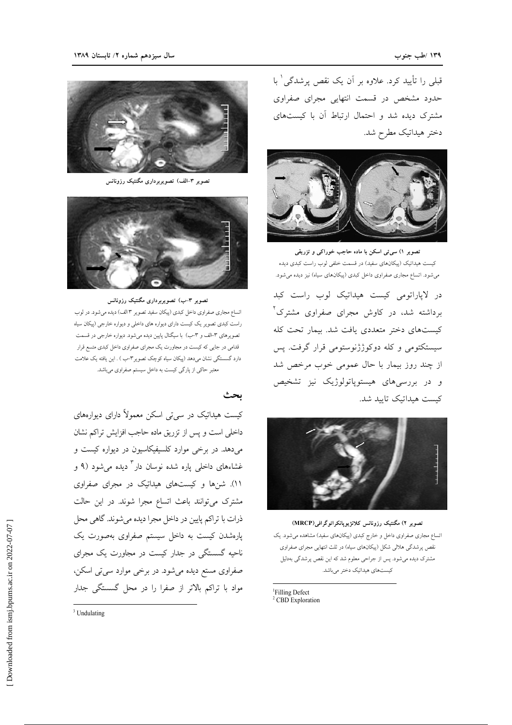قبلی را تأیید کرد. علاوه بر آن یک نقص پرشدگی ٰ با حدود مشخص در قسمت انتهایی مجرای صفراوی مشترک دیده شد و احتمال ارتباط آن با کیستهای دختر هیداتیک مطرح شد.



تصویر ۱) سی تی اسکن با ماده حاجب خوراکی و تزریقی کیست هیداتیک (پیکانهای سفید) در قسمت خلفی لوب راست کبدی دیده می شود. اتساع مجاری صفراوی داخل کبدی (پیکانهای سیاه) نیز دیده می شود.

در لاپاراتومی کیست هیداتیک لوب راست کبد برداشته شد، در کاوش مجرای صفراوی مشترک ٌ کیستهای دختر متعددی یافت شد. بیمار تحت کله سیستکتومی و کله دوکوژژنوستومی قرار گرفت. پس از چند روز بیمار با حال عمومی خوب مرخص شد و در بررسیهای هیستوپاتولوژیک نیز تشخیص كيست هيداتيك تاييد شد.



تصویر ۲) مگنتیک رزونانس کلانژیوپانکراتوگرافی(MRCP) اتساع مجاری صفراوی داخل و خارج کبدی (پیکانهای سفید) مشاهده میشود. یک .<br>نقص پرشدگی هلالی شکل (پیکانهای سیاه) در ثلث انتهایی مجرای صفراوی مشترک دیده میشود. پس از جراحی معلوم شد که این نقص پرشدگی بهدلیل كيستهاي هيداتيك دختر مىباشد.

<sup>1</sup>Filling Defect <sup>2</sup> CBD Exploration



تصویر ۳–الف) تصویربرداری مگنتیک رزونانس



تصویر ۳–ب) تصویربرداری مگنتیک رزونانس

اتساع مجاري صفراوي داخل كبدي (پيكان سفيد تصوير ٣ الف) ديده مي شود. در لوب راست کبدی تصویر یک کیست دارای دیواره های داخلی و دیواره خارجی (پیکان سیاه تصویرهای ۳-الف و ۳-ب) با سیگنال پایین دیده می شود. دیواره خارجی در قسمت قدامی در جایی که کیست در مجاورت یک مجرای صفراوی داخل کبدی متسع قرار دارد گسستگی نشان میدهد (پیکان سیاه کوچک تصویر۳-ب ) . این یافته یک علامت معتبر حاکي از پارگي کيست به داخل سيستم صفراوي مي باشد.

ىحث

کیست هیداتیک در سی تی اسکن معمولاً دارای دیوارههای داخلی است و پس از تزریق ماده حاجب افزایش تراکم نشان میدهد. در برخی موارد کلسیفیکاسیون در دیواره کیست و غشاءهای داخلی پاره شده نوسان دار<sup>۳</sup> دیده میشود (۹ و ١١). شنها و کیستهای هیداتیک در مجرای صفراوی مشترک میتوانند باعث اتساع مجرا شوند. در این حالت ذرات با تراکم پایین در داخل مجرا دیده میشوند. گاهی محل پارهشدن کیست به داخل سیستم صفراوی بهصورت یک ناحیه گسستگی در جدار کیست در مجاورت یک مجرای صفراوی مستع دیده میشود. در برخی موارد سی تی اسکن، مواد با تراکم بالاتر از صفرا را در محل گسستگی جدار

<sup>3</sup> Undulating